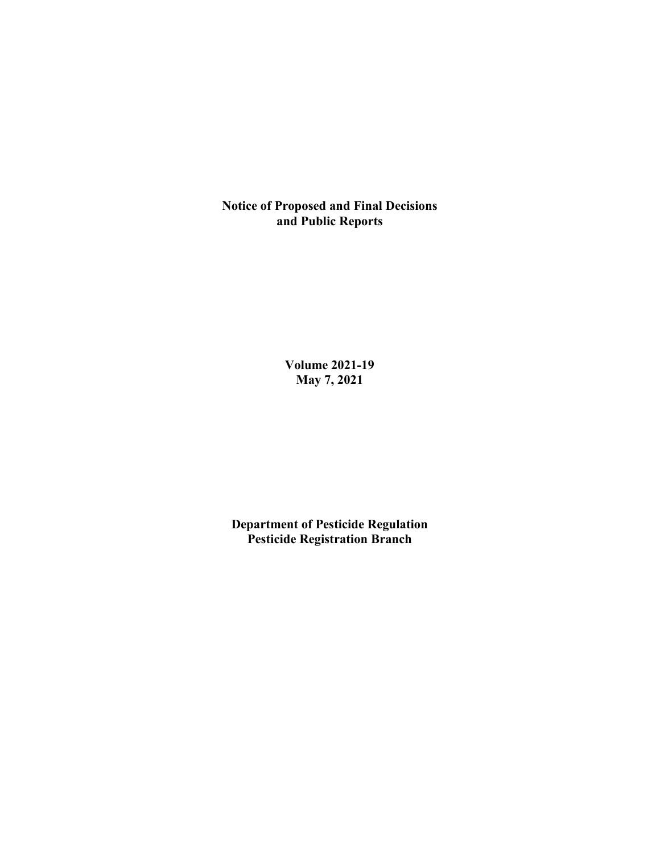**Notice of Proposed and Final Decisions and Public Reports**

> **Volume 2021-19 May 7, 2021**

**Department of Pesticide Regulation Pesticide Registration Branch**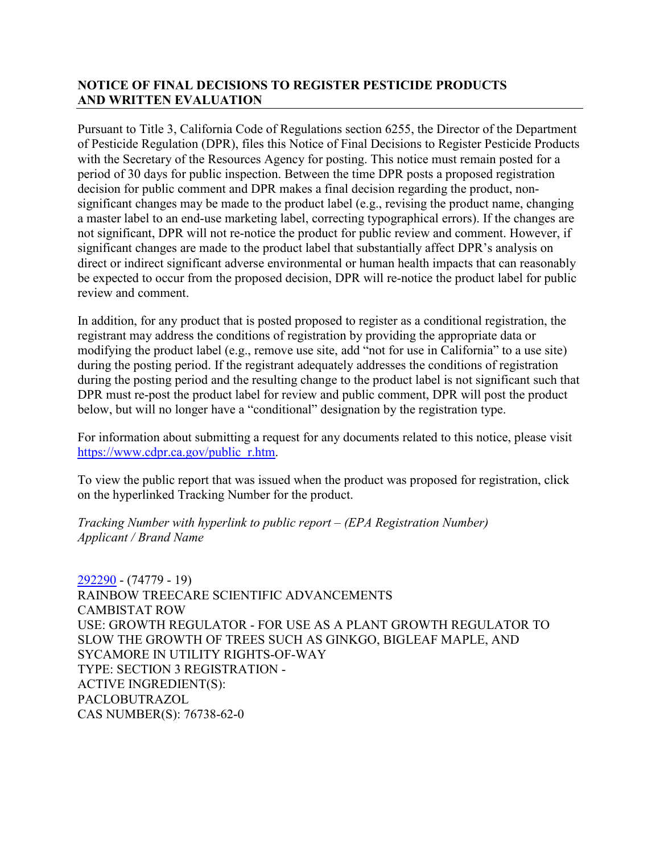## **NOTICE OF FINAL DECISIONS TO REGISTER PESTICIDE PRODUCTS AND WRITTEN EVALUATION**

Pursuant to Title 3, California Code of Regulations section 6255, the Director of the Department of Pesticide Regulation (DPR), files this Notice of Final Decisions to Register Pesticide Products with the Secretary of the Resources Agency for posting. This notice must remain posted for a period of 30 days for public inspection. Between the time DPR posts a proposed registration decision for public comment and DPR makes a final decision regarding the product, nonsignificant changes may be made to the product label (e.g., revising the product name, changing a master label to an end-use marketing label, correcting typographical errors). If the changes are not significant, DPR will not re-notice the product for public review and comment. However, if significant changes are made to the product label that substantially affect DPR's analysis on direct or indirect significant adverse environmental or human health impacts that can reasonably be expected to occur from the proposed decision, DPR will re-notice the product label for public review and comment.

In addition, for any product that is posted proposed to register as a conditional registration, the registrant may address the conditions of registration by providing the appropriate data or modifying the product label (e.g., remove use site, add "not for use in California" to a use site) during the posting period. If the registrant adequately addresses the conditions of registration during the posting period and the resulting change to the product label is not significant such that DPR must re-post the product label for review and public comment, DPR will post the product below, but will no longer have a "conditional" designation by the registration type.

For information about submitting a request for any documents related to this notice, please visit [https://www.cdpr.ca.gov/public\\_r.htm.](https://www.cdpr.ca.gov/public_r.htm)

To view the public report that was issued when the product was proposed for registration, click on the hyperlinked Tracking Number for the product.

*Tracking Number with hyperlink to public report – (EPA Registration Number) Applicant / Brand Name*

[292290](https://www.cdpr.ca.gov/docs/registration/nod/public_reports/292290.pdf) - (74779 - 19) RAINBOW TREECARE SCIENTIFIC ADVANCEMENTS CAMBISTAT ROW USE: GROWTH REGULATOR - FOR USE AS A PLANT GROWTH REGULATOR TO SLOW THE GROWTH OF TREES SUCH AS GINKGO, BIGLEAF MAPLE, AND SYCAMORE IN UTILITY RIGHTS-OF-WAY TYPE: SECTION 3 REGISTRATION - ACTIVE INGREDIENT(S): PACLOBUTRAZOL CAS NUMBER(S): 76738-62-0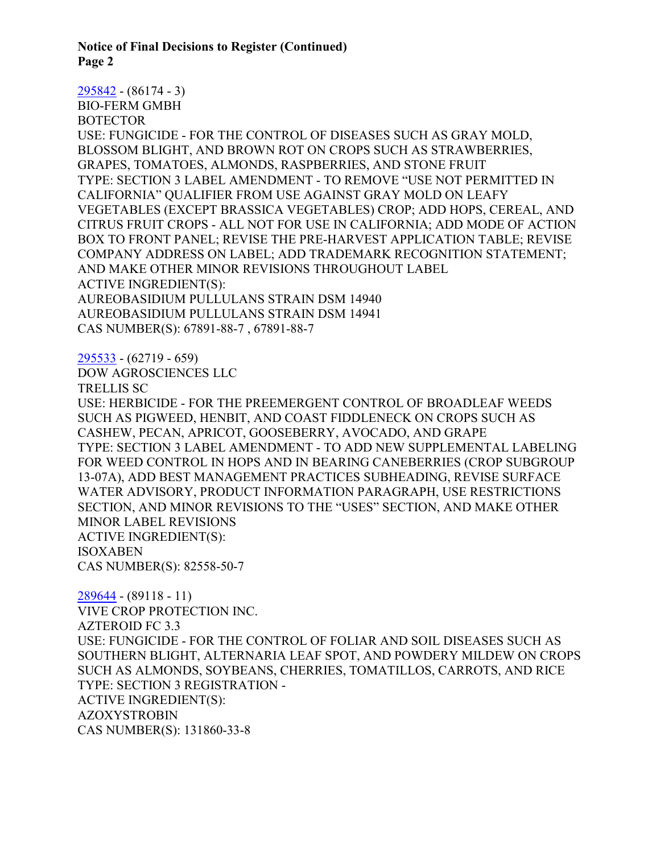**Notice of Final Decisions to Register (Continued) Page 2**

[295842](https://www.cdpr.ca.gov/docs/registration/nod/public_reports/295842.pdf) - (86174 - 3) BIO-FERM GMBH **BOTECTOR** USE: FUNGICIDE - FOR THE CONTROL OF DISEASES SUCH AS GRAY MOLD, BLOSSOM BLIGHT, AND BROWN ROT ON CROPS SUCH AS STRAWBERRIES, GRAPES, TOMATOES, ALMONDS, RASPBERRIES, AND STONE FRUIT TYPE: SECTION 3 LABEL AMENDMENT - TO REMOVE "USE NOT PERMITTED IN CALIFORNIA" QUALIFIER FROM USE AGAINST GRAY MOLD ON LEAFY VEGETABLES (EXCEPT BRASSICA VEGETABLES) CROP; ADD HOPS, CEREAL, AND CITRUS FRUIT CROPS - ALL NOT FOR USE IN CALIFORNIA; ADD MODE OF ACTION BOX TO FRONT PANEL; REVISE THE PRE-HARVEST APPLICATION TABLE; REVISE COMPANY ADDRESS ON LABEL; ADD TRADEMARK RECOGNITION STATEMENT; AND MAKE OTHER MINOR REVISIONS THROUGHOUT LABEL ACTIVE INGREDIENT(S): AUREOBASIDIUM PULLULANS STRAIN DSM 14940 AUREOBASIDIUM PULLULANS STRAIN DSM 14941 CAS NUMBER(S): 67891-88-7 , 67891-88-7 [295533](https://www.cdpr.ca.gov/docs/registration/nod/public_reports/295533.pdf) - (62719 - 659) DOW AGROSCIENCES LLC TRELLIS SC USE: HERBICIDE - FOR THE PREEMERGENT CONTROL OF BROADLEAF WEEDS SUCH AS PIGWEED, HENBIT, AND COAST FIDDLENECK ON CROPS SUCH AS CASHEW, PECAN, APRICOT, GOOSEBERRY, AVOCADO, AND GRAPE TYPE: SECTION 3 LABEL AMENDMENT - TO ADD NEW SUPPLEMENTAL LABELING FOR WEED CONTROL IN HOPS AND IN BEARING CANEBERRIES (CROP SUBGROUP

13-07A), ADD BEST MANAGEMENT PRACTICES SUBHEADING, REVISE SURFACE WATER ADVISORY, PRODUCT INFORMATION PARAGRAPH, USE RESTRICTIONS SECTION, AND MINOR REVISIONS TO THE "USES" SECTION, AND MAKE OTHER MINOR LABEL REVISIONS ACTIVE INGREDIENT(S):

ISOXABEN

CAS NUMBER(S): 82558-50-7

[289644](https://www.cdpr.ca.gov/docs/registration/nod/public_reports/289644.pdf) - (89118 - 11) VIVE CROP PROTECTION INC. AZTEROID FC 3.3 USE: FUNGICIDE - FOR THE CONTROL OF FOLIAR AND SOIL DISEASES SUCH AS SOUTHERN BLIGHT, ALTERNARIA LEAF SPOT, AND POWDERY MILDEW ON CROPS SUCH AS ALMONDS, SOYBEANS, CHERRIES, TOMATILLOS, CARROTS, AND RICE TYPE: SECTION 3 REGISTRATION - ACTIVE INGREDIENT(S): AZOXYSTROBIN CAS NUMBER(S): 131860-33-8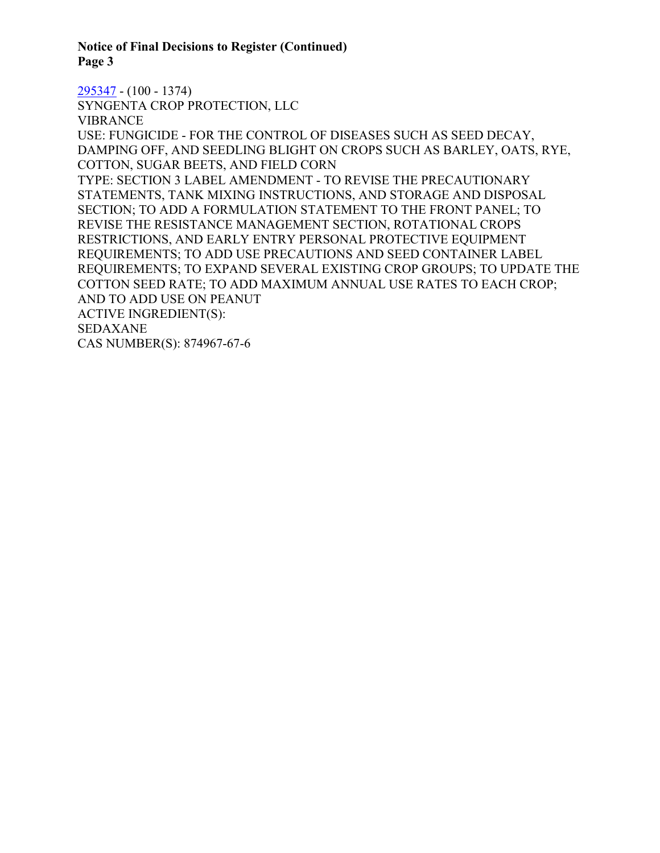**Notice of Final Decisions to Register (Continued) Page 3**

[295347](https://www.cdpr.ca.gov/docs/registration/nod/public_reports/295347.pdf) - (100 - 1374) SYNGENTA CROP PROTECTION, LLC VIBRANCE USE: FUNGICIDE - FOR THE CONTROL OF DISEASES SUCH AS SEED DECAY, DAMPING OFF, AND SEEDLING BLIGHT ON CROPS SUCH AS BARLEY, OATS, RYE, COTTON, SUGAR BEETS, AND FIELD CORN TYPE: SECTION 3 LABEL AMENDMENT - TO REVISE THE PRECAUTIONARY STATEMENTS, TANK MIXING INSTRUCTIONS, AND STORAGE AND DISPOSAL SECTION; TO ADD A FORMULATION STATEMENT TO THE FRONT PANEL; TO REVISE THE RESISTANCE MANAGEMENT SECTION, ROTATIONAL CROPS RESTRICTIONS, AND EARLY ENTRY PERSONAL PROTECTIVE EQUIPMENT REQUIREMENTS; TO ADD USE PRECAUTIONS AND SEED CONTAINER LABEL REQUIREMENTS; TO EXPAND SEVERAL EXISTING CROP GROUPS; TO UPDATE THE COTTON SEED RATE; TO ADD MAXIMUM ANNUAL USE RATES TO EACH CROP; AND TO ADD USE ON PEANUT ACTIVE INGREDIENT(S): SEDAXANE CAS NUMBER(S): 874967-67-6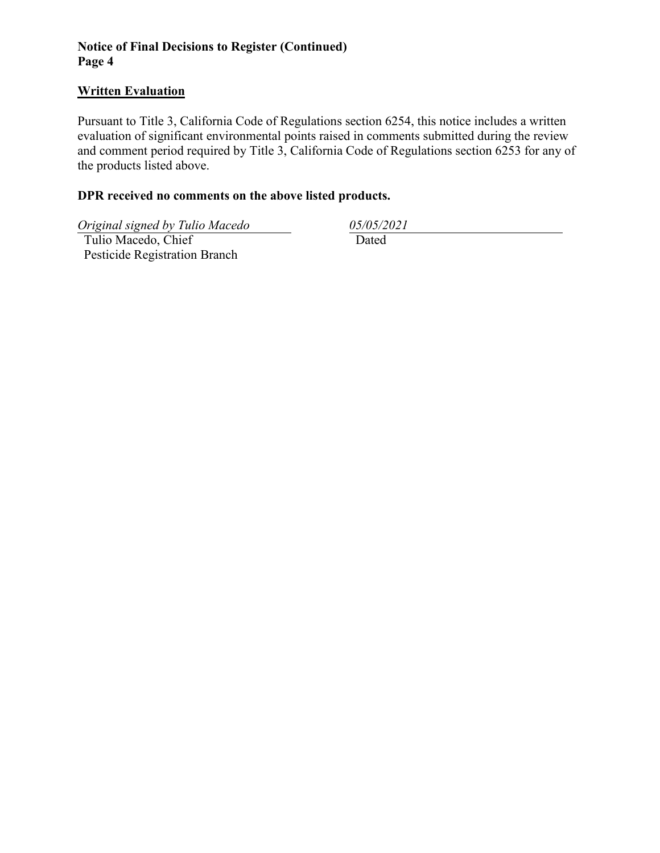## **Notice of Final Decisions to Register (Continued) Page 4**

## **Written Evaluation**

Pursuant to Title 3, California Code of Regulations section 6254, this notice includes a written evaluation of significant environmental points raised in comments submitted during the review and comment period required by Title 3, California Code of Regulations section 6253 for any of the products listed above.

## **DPR received no comments on the above listed products.**

*Original signed by Tulio Macedo 05/05/2021*

 Tulio Macedo, Chief Pesticide Registration Branch

Dated